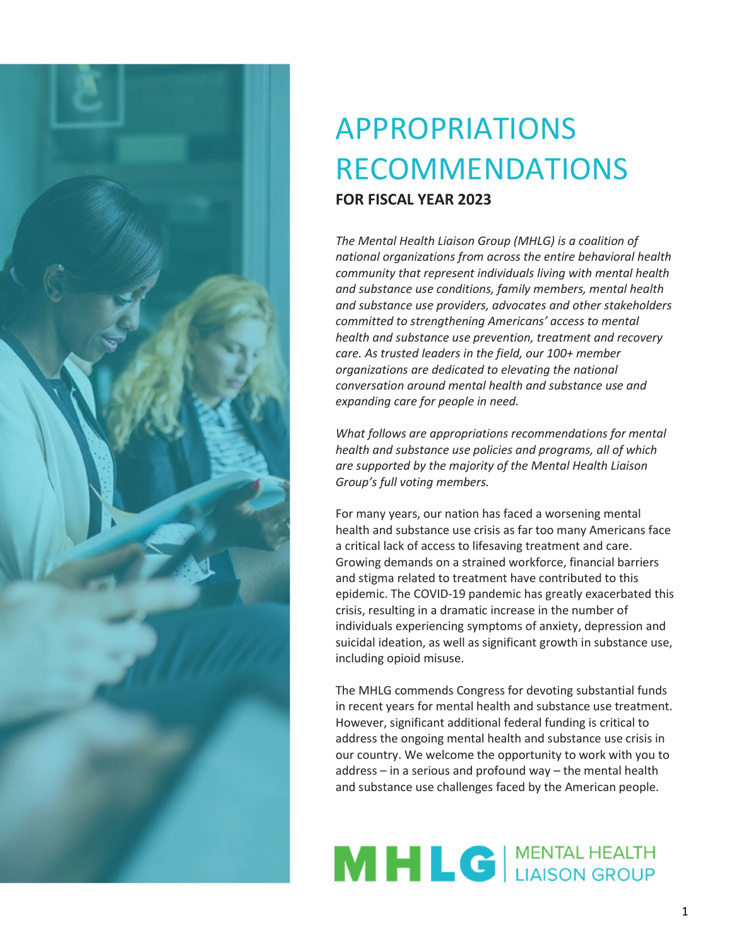

# APPROPRIATIONS RECOMMENDATIONS FOR FISCAL YEAR 2023

The Mental Health Liaison Group (MHLG) is a coalition of national organizations from across the entire behavioral health community that represent individuals living with mental health and substance use conditions, family members, mental health and substance use providers, advocates and other stakeholders committed to strengthening Americans' access to mental health and substance use prevention, treatment and recovery care. As trusted leaders in the field, our 100+ member organizations are dedicated to elevating the national conversation around mental health and substance use and expanding care for people in need.

What follows are appropriations recommendations for mental health and substance use policies and programs, all of which are supported by the majority of the Mental Health Liaison Group's full voting members.

For many years, our nation has faced a worsening mental health and substance use crisis as far too many Americans face a critical lack of access to lifesaving treatment and care. Growing demands on a strained workforce, financial barriers and stigma related to treatment have contributed to this epidemic. The COVID-19 pandemic has greatly exacerbated this crisis, resulting in a dramatic increase in the number of individuals experiencing symptoms of anxiety, depression and suicidal ideation, as well as significant growth in substance use, including opioid misuse.

The MHLG commends Congress for devoting substantial funds in recent years for mental health and substance use treatment. However, significant additional federal funding is critical to address the ongoing mental health and substance use crisis in our country. We welcome the opportunity to work with you to address – in a serious and profound way – the mental health and substance use challenges faced by the American people.

# MHLC ALAISON GROUP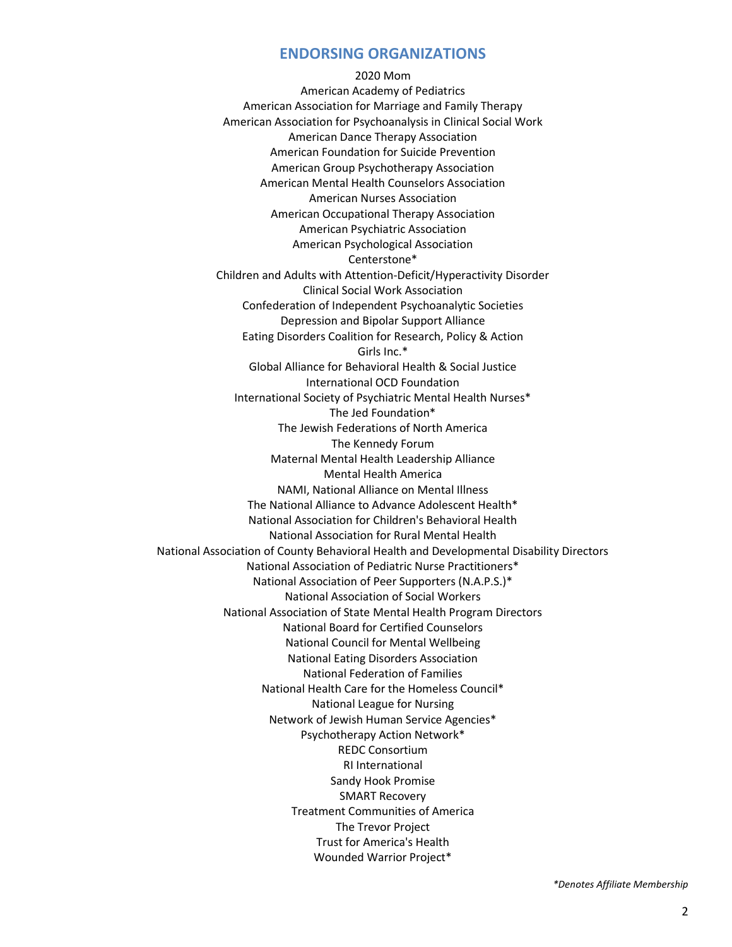#### ENDORSING ORGANIZATIONS

2020 Mom American Academy of Pediatrics American Association for Marriage and Family Therapy American Association for Psychoanalysis in Clinical Social Work American Dance Therapy Association American Foundation for Suicide Prevention American Group Psychotherapy Association American Mental Health Counselors Association American Nurses Association American Occupational Therapy Association American Psychiatric Association American Psychological Association Centerstone\* Children and Adults with Attention-Deficit/Hyperactivity Disorder Clinical Social Work Association Confederation of Independent Psychoanalytic Societies Depression and Bipolar Support Alliance Eating Disorders Coalition for Research, Policy & Action Girls Inc.\* Global Alliance for Behavioral Health & Social Justice International OCD Foundation International Society of Psychiatric Mental Health Nurses\* The Jed Foundation\* The Jewish Federations of North America The Kennedy Forum Maternal Mental Health Leadership Alliance Mental Health America NAMI, National Alliance on Mental Illness The National Alliance to Advance Adolescent Health\* National Association for Children's Behavioral Health National Association for Rural Mental Health National Association of County Behavioral Health and Developmental Disability Directors National Association of Pediatric Nurse Practitioners\* National Association of Peer Supporters (N.A.P.S.)\* National Association of Social Workers National Association of State Mental Health Program Directors National Board for Certified Counselors National Council for Mental Wellbeing National Eating Disorders Association National Federation of Families National Health Care for the Homeless Council\* National League for Nursing Network of Jewish Human Service Agencies\* Psychotherapy Action Network\* REDC Consortium RI International Sandy Hook Promise SMART Recovery Treatment Communities of America The Trevor Project Trust for America's Health Wounded Warrior Project\*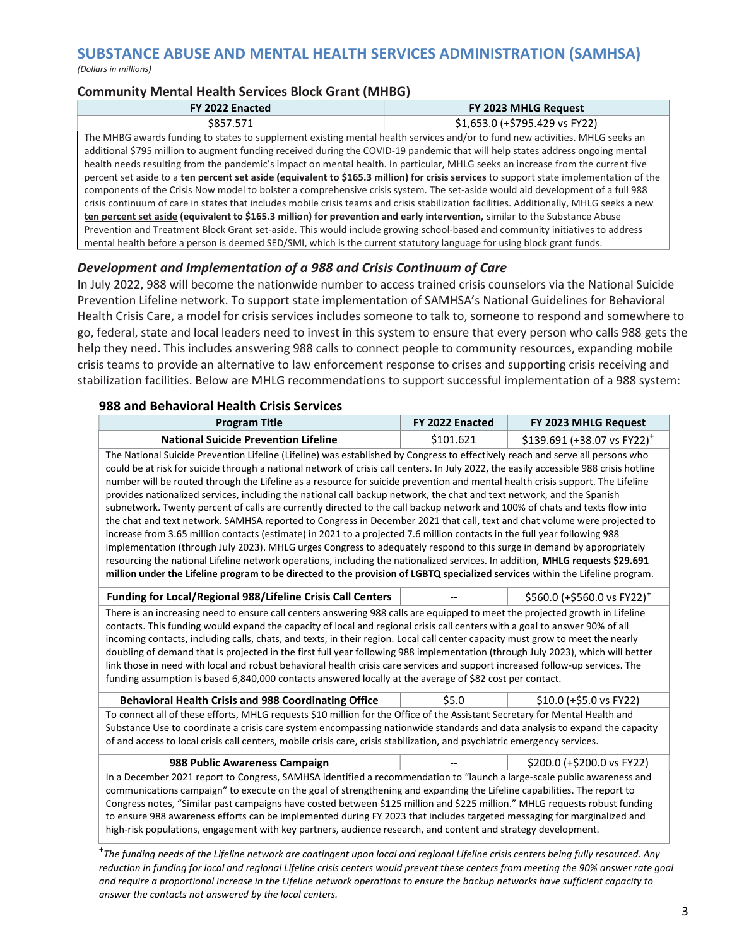# SUBSTANCE ABUSE AND MENTAL HEALTH SERVICES ADMINISTRATION (SAMHSA)

(Dollars in millions)

#### Community Mental Health Services Block Grant (MHBG)

| FY 2022 Enacted                                                                                                                         | FY 2023 MHLG Request           |  |
|-----------------------------------------------------------------------------------------------------------------------------------------|--------------------------------|--|
| \$857.571                                                                                                                               | \$1,653.0 (+\$795.429 vs FY22) |  |
| The MHBG awards funding to states to supplement existing mental health services and/or to fund new activities. MHLG seeks an            |                                |  |
| additional \$795 million to augment funding received during the COVID-19 pandemic that will help states address ongoing mental          |                                |  |
| health needs resulting from the pandemic's impact on mental health. In particular, MHLG seeks an increase from the current five         |                                |  |
| percent set aside to a ten percent set aside (equivalent to \$165.3 million) for crisis services to support state implementation of the |                                |  |
| components of the Crisis Now model to bolster a comprehensive crisis system. The set-aside would aid development of a full 988          |                                |  |

crisis continuum of care in states that includes mobile crisis teams and crisis stabilization facilities. Additionally, MHLG seeks a new ten percent set aside (equivalent to \$165.3 million) for prevention and early intervention, similar to the Substance Abuse Prevention and Treatment Block Grant set-aside. This would include growing school-based and community initiatives to address mental health before a person is deemed SED/SMI, which is the current statutory language for using block grant funds.

#### Development and Implementation of a 988 and Crisis Continuum of Care

In July 2022, 988 will become the nationwide number to access trained crisis counselors via the National Suicide Prevention Lifeline network. To support state implementation of SAMHSA's National Guidelines for Behavioral Health Crisis Care, a model for crisis services includes someone to talk to, someone to respond and somewhere to go, federal, state and local leaders need to invest in this system to ensure that every person who calls 988 gets the help they need. This includes answering 988 calls to connect people to community resources, expanding mobile crisis teams to provide an alternative to law enforcement response to crises and supporting crisis receiving and stabilization facilities. Below are MHLG recommendations to support successful implementation of a 988 system:

#### 988 and Behavioral Health Crisis Services

| <b>Program Title</b>                                                                                                                                                                                                                                                                                                                                                                                                                                                                                                                                                                                                                                                                                                                                                                                                                                                                                                                                                                                                                                                                                                                                                                                                                                                                                                      | FY 2022 Enacted | FY 2023 MHLG Request                     |
|---------------------------------------------------------------------------------------------------------------------------------------------------------------------------------------------------------------------------------------------------------------------------------------------------------------------------------------------------------------------------------------------------------------------------------------------------------------------------------------------------------------------------------------------------------------------------------------------------------------------------------------------------------------------------------------------------------------------------------------------------------------------------------------------------------------------------------------------------------------------------------------------------------------------------------------------------------------------------------------------------------------------------------------------------------------------------------------------------------------------------------------------------------------------------------------------------------------------------------------------------------------------------------------------------------------------------|-----------------|------------------------------------------|
| <b>National Suicide Prevention Lifeline</b>                                                                                                                                                                                                                                                                                                                                                                                                                                                                                                                                                                                                                                                                                                                                                                                                                                                                                                                                                                                                                                                                                                                                                                                                                                                                               | \$101.621       | $$139.691$ (+38.07 vs FY22) <sup>+</sup> |
| The National Suicide Prevention Lifeline (Lifeline) was established by Congress to effectively reach and serve all persons who<br>could be at risk for suicide through a national network of crisis call centers. In July 2022, the easily accessible 988 crisis hotline<br>number will be routed through the Lifeline as a resource for suicide prevention and mental health crisis support. The Lifeline<br>provides nationalized services, including the national call backup network, the chat and text network, and the Spanish<br>subnetwork. Twenty percent of calls are currently directed to the call backup network and 100% of chats and texts flow into<br>the chat and text network. SAMHSA reported to Congress in December 2021 that call, text and chat volume were projected to<br>increase from 3.65 million contacts (estimate) in 2021 to a projected 7.6 million contacts in the full year following 988<br>implementation (through July 2023). MHLG urges Congress to adequately respond to this surge in demand by appropriately<br>resourcing the national Lifeline network operations, including the nationalized services. In addition, MHLG requests \$29.691<br>million under the Lifeline program to be directed to the provision of LGBTQ specialized services within the Lifeline program. |                 |                                          |
| <b>Funding for Local/Regional 988/Lifeline Crisis Call Centers</b>                                                                                                                                                                                                                                                                                                                                                                                                                                                                                                                                                                                                                                                                                                                                                                                                                                                                                                                                                                                                                                                                                                                                                                                                                                                        |                 | \$560.0 (+\$560.0 vs FY22) <sup>+</sup>  |
| There is an increasing need to ensure call centers answering 988 calls are equipped to meet the projected growth in Lifeline<br>contacts. This funding would expand the capacity of local and regional crisis call centers with a goal to answer 90% of all<br>incoming contacts, including calls, chats, and texts, in their region. Local call center capacity must grow to meet the nearly<br>doubling of demand that is projected in the first full year following 988 implementation (through July 2023), which will better<br>link those in need with local and robust behavioral health crisis care services and support increased follow-up services. The<br>funding assumption is based 6,840,000 contacts answered locally at the average of \$82 cost per contact.                                                                                                                                                                                                                                                                                                                                                                                                                                                                                                                                             |                 |                                          |
| <b>Behavioral Health Crisis and 988 Coordinating Office</b>                                                                                                                                                                                                                                                                                                                                                                                                                                                                                                                                                                                                                                                                                                                                                                                                                                                                                                                                                                                                                                                                                                                                                                                                                                                               | \$5.0           | \$10.0 (+\$5.0 vs FY22)                  |
| To connect all of these efforts, MHLG requests \$10 million for the Office of the Assistant Secretary for Mental Health and<br>Substance Use to coordinate a crisis care system encompassing nationwide standards and data analysis to expand the capacity<br>of and access to local crisis call centers, mobile crisis care, crisis stabilization, and psychiatric emergency services.                                                                                                                                                                                                                                                                                                                                                                                                                                                                                                                                                                                                                                                                                                                                                                                                                                                                                                                                   |                 |                                          |
| \$200.0 (+\$200.0 vs FY22)<br>988 Public Awareness Campaign                                                                                                                                                                                                                                                                                                                                                                                                                                                                                                                                                                                                                                                                                                                                                                                                                                                                                                                                                                                                                                                                                                                                                                                                                                                               |                 |                                          |
| In a December 2021 report to Congress, SAMHSA identified a recommendation to "launch a large-scale public awareness and<br>communications campaign" to execute on the goal of strengthening and expanding the Lifeline capabilities. The report to<br>Congress notes, "Similar past campaigns have costed between \$125 million and \$225 million." MHLG requests robust funding<br>to ensure 988 awareness efforts can be implemented during FY 2023 that includes targeted messaging for marginalized and<br>high-risk populations, engagement with key partners, audience research, and content and strategy development.                                                                                                                                                                                                                                                                                                                                                                                                                                                                                                                                                                                                                                                                                              |                 |                                          |

<sup>+</sup>The funding needs of the Lifeline network are contingent upon local and regional Lifeline crisis centers being fully resourced. Any reduction in funding for local and regional Lifeline crisis centers would prevent these centers from meeting the 90% answer rate goal and require a proportional increase in the Lifeline network operations to ensure the backup networks have sufficient capacity to answer the contacts not answered by the local centers.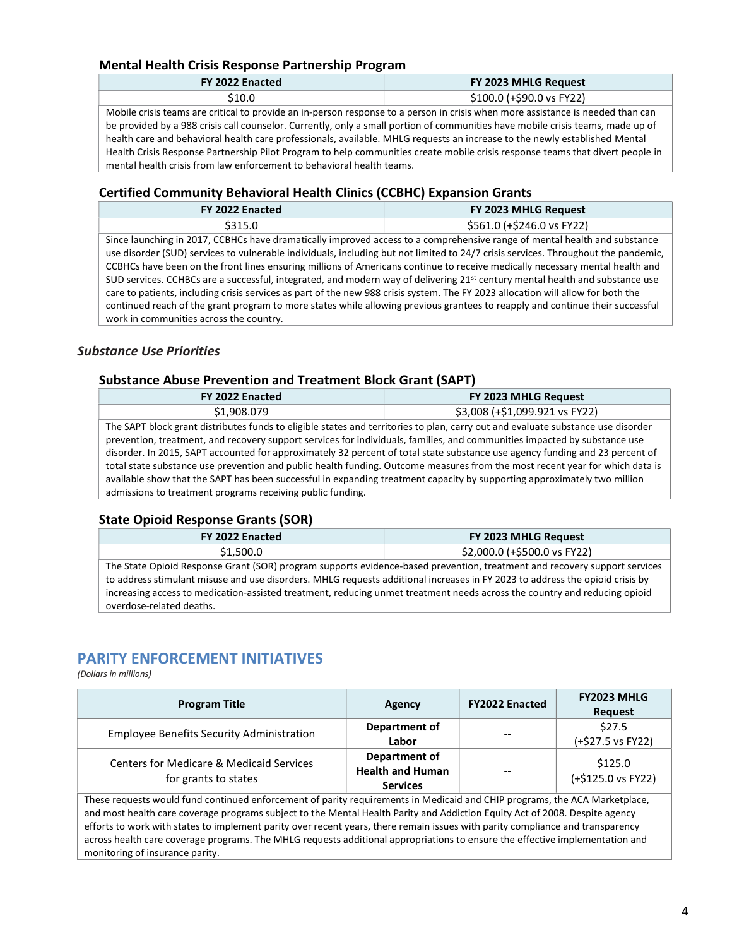#### Mental Health Crisis Response Partnership Program

| FY 2022 Enacted                                                                                                                 | FY 2023 MHLG Request       |
|---------------------------------------------------------------------------------------------------------------------------------|----------------------------|
| S10.0                                                                                                                           | $$100.0$ (+\$90.0 vs FY22) |
| Mobile crisis teams are critical to provide an in-person response to a person in crisis when more assistance is needed than can |                            |

be provided by a 988 crisis call counselor. Currently, only a small portion of communities have mobile crisis teams, made up of health care and behavioral health care professionals, available. MHLG requests an increase to the newly established Mental Health Crisis Response Partnership Pilot Program to help communities create mobile crisis response teams that divert people in mental health crisis from law enforcement to behavioral health teams.

#### Certified Community Behavioral Health Clinics (CCBHC) Expansion Grants

| FY 2022 Enacted | FY 2023 MHLG Request       |
|-----------------|----------------------------|
| \$315.0         | \$561.0 (+\$246.0 vs FY22) |
|                 | .                          |

Since launching in 2017, CCBHCs have dramatically improved access to a comprehensive range of mental health and substance use disorder (SUD) services to vulnerable individuals, including but not limited to 24/7 crisis services. Throughout the pandemic, CCBHCs have been on the front lines ensuring millions of Americans continue to receive medically necessary mental health and SUD services. CCHBCs are a successful, integrated, and modern way of delivering  $21^{st}$  century mental health and substance use care to patients, including crisis services as part of the new 988 crisis system. The FY 2023 allocation will allow for both the continued reach of the grant program to more states while allowing previous grantees to reapply and continue their successful work in communities across the country.

#### Substance Use Priorities

#### Substance Abuse Prevention and Treatment Block Grant (SAPT)

| FY 2022 Enacted                                                                                                                  | FY 2023 MHLG Request           |  |
|----------------------------------------------------------------------------------------------------------------------------------|--------------------------------|--|
| \$1,908.079                                                                                                                      | \$3,008 (+\$1,099.921 vs FY22) |  |
| The SAPT block grant distributes funds to eligible states and territories to plan, carry out and evaluate substance use disorder |                                |  |
| prevention, treatment, and recovery support services for individuals, families, and communities impacted by substance use        |                                |  |
| disorder. In 2015, SAPT accounted for approximately 32 percent of total state substance use agency funding and 23 percent of     |                                |  |
| total state substance use prevention and public health funding. Outcome measures from the most recent year for which data is     |                                |  |
| available show that the SAPT has been successful in expanding treatment capacity by supporting approximately two million         |                                |  |
| admissions to treatment programs receiving public funding.                                                                       |                                |  |

#### State Opioid Response Grants (SOR)

| FY 2022 Enacted                                                                                                              | FY 2023 MHLG Request         |  |
|------------------------------------------------------------------------------------------------------------------------------|------------------------------|--|
| \$1,500.0                                                                                                                    | \$2,000.0 (+\$500.0 vs FY22) |  |
| The State Opioid Response Grant (SOR) program supports evidence-based prevention, treatment and recovery support services    |                              |  |
| to address stimulant misuse and use disorders. MHLG requests additional increases in FY 2023 to address the opioid crisis by |                              |  |
| increasing access to medication-assisted treatment, reducing unmet treatment needs across the country and reducing opioid    |                              |  |
| overdose-related deaths.                                                                                                     |                              |  |

## PARITY ENFORCEMENT INITIATIVES

(Dollars in millions)

| <b>Program Title</b>                                                        | Agency                                                      | <b>FY2022 Enacted</b> | <b>FY2023 MHLG</b><br><b>Request</b> |
|-----------------------------------------------------------------------------|-------------------------------------------------------------|-----------------------|--------------------------------------|
| <b>Employee Benefits Security Administration</b>                            | Department of<br>Labor                                      | $- -$                 | \$27.5<br>(+\$27.5 vs FY22)          |
| <b>Centers for Medicare &amp; Medicaid Services</b><br>for grants to states | Department of<br><b>Health and Human</b><br><b>Services</b> | $-$                   | \$125.0<br>(+\$125.0 vs FY22)        |

These requests would fund continued enforcement of parity requirements in Medicaid and CHIP programs, the ACA Marketplace, and most health care coverage programs subject to the Mental Health Parity and Addiction Equity Act of 2008. Despite agency efforts to work with states to implement parity over recent years, there remain issues with parity compliance and transparency across health care coverage programs. The MHLG requests additional appropriations to ensure the effective implementation and monitoring of insurance parity.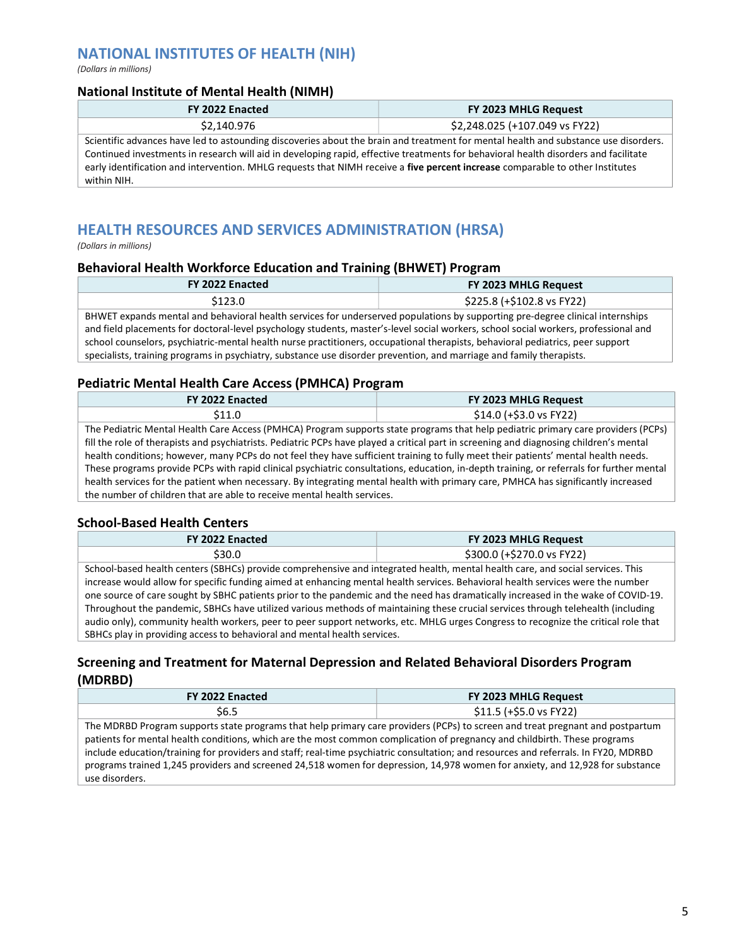# NATIONAL INSTITUTES OF HEALTH (NIH)

(Dollars in millions)

#### National Institute of Mental Health (NIMH)

| FY 2022 Enacted                                                                                                                                                                                                                                                                                                                                                                                                            | FY 2023 MHLG Request           |
|----------------------------------------------------------------------------------------------------------------------------------------------------------------------------------------------------------------------------------------------------------------------------------------------------------------------------------------------------------------------------------------------------------------------------|--------------------------------|
| \$2,140.976                                                                                                                                                                                                                                                                                                                                                                                                                | \$2,248.025 (+107.049 vs FY22) |
| Scientific advances have led to astounding discoveries about the brain and treatment for mental health and substance use disorders.<br>Continued investments in research will aid in developing rapid, effective treatments for behavioral health disorders and facilitate<br>early identification and intervention. MHLG requests that NIMH receive a five percent increase comparable to other Institutes<br>within NIH. |                                |

# HEALTH RESOURCES AND SERVICES ADMINISTRATION (HRSA)

(Dollars in millions)

#### Behavioral Health Workforce Education and Training (BHWET) Program

| FY 2022 Enacted                                                                                                                                                                                                                                                                                                                                                                                                                                                                                                                | FY 2023 MHLG Request       |
|--------------------------------------------------------------------------------------------------------------------------------------------------------------------------------------------------------------------------------------------------------------------------------------------------------------------------------------------------------------------------------------------------------------------------------------------------------------------------------------------------------------------------------|----------------------------|
| \$123.0                                                                                                                                                                                                                                                                                                                                                                                                                                                                                                                        | \$225.8 (+\$102.8 vs FY22) |
| BHWET expands mental and behavioral health services for underserved populations by supporting pre-degree clinical internships<br>and field placements for doctoral-level psychology students, master's-level social workers, school social workers, professional and<br>school counselors, psychiatric-mental health nurse practitioners, occupational therapists, behavioral pediatrics, peer support<br>specialists, training programs in psychiatry, substance use disorder prevention, and marriage and family therapists. |                            |

#### Pediatric Mental Health Care Access (PMHCA) Program

| FY 2022 Enacted                                                                                                                          | FY 2023 MHLG Request    |  |
|------------------------------------------------------------------------------------------------------------------------------------------|-------------------------|--|
| \$11.0                                                                                                                                   | $$14.0 (+$3.0 vs FY22)$ |  |
| The Pediatric Mental Health Care Access (PMHCA) Program supports state programs that help pediatric primary care providers (PCPs)        |                         |  |
| fill the role of therapists and psychiatrists. Pediatric PCPs have played a critical part in screening and diagnosing children's mental  |                         |  |
| health conditions; however, many PCPs do not feel they have sufficient training to fully meet their patients' mental health needs.       |                         |  |
| These programs provide PCPs with rapid clinical psychiatric consultations, education, in-depth training, or referrals for further mental |                         |  |
| health services for the patient when necessary. By integrating mental health with primary care, PMHCA has significantly increased        |                         |  |
| the number of children that are able to receive mental health services.                                                                  |                         |  |

#### School-Based Health Centers

| FY 2022 Enacted                                                                                                                    | FY 2023 MHLG Request       |  |
|------------------------------------------------------------------------------------------------------------------------------------|----------------------------|--|
| \$30.0                                                                                                                             | \$300.0 (+\$270.0 vs FY22) |  |
| School-based health centers (SBHCs) provide comprehensive and integrated health, mental health care, and social services. This     |                            |  |
| increase would allow for specific funding aimed at enhancing mental health services. Behavioral health services were the number    |                            |  |
| one source of care sought by SBHC patients prior to the pandemic and the need has dramatically increased in the wake of COVID-19.  |                            |  |
| Throughout the pandemic, SBHCs have utilized various methods of maintaining these crucial services through telehealth (including   |                            |  |
| audio only), community health workers, peer to peer support networks, etc. MHLG urges Congress to recognize the critical role that |                            |  |
| SBHCs play in providing access to behavioral and mental health services.                                                           |                            |  |

#### Screening and Treatment for Maternal Depression and Related Behavioral Disorders Program (MDRBD)

| FY 2022 Enacted                                                                                                                                                                                                                                                                                                                                                                                                                                                                                                                                      | FY 2023 MHLG Request    |
|------------------------------------------------------------------------------------------------------------------------------------------------------------------------------------------------------------------------------------------------------------------------------------------------------------------------------------------------------------------------------------------------------------------------------------------------------------------------------------------------------------------------------------------------------|-------------------------|
| <b>S6.5</b>                                                                                                                                                                                                                                                                                                                                                                                                                                                                                                                                          | \$11.5 (+\$5.0 vs FY22) |
| The MDRBD Program supports state programs that help primary care providers (PCPs) to screen and treat pregnant and postpartum<br>patients for mental health conditions, which are the most common complication of pregnancy and childbirth. These programs<br>include education/training for providers and staff; real-time psychiatric consultation; and resources and referrals. In FY20, MDRBD<br>programs trained 1,245 providers and screened 24,518 women for depression, 14,978 women for anxiety, and 12,928 for substance<br>use disorders. |                         |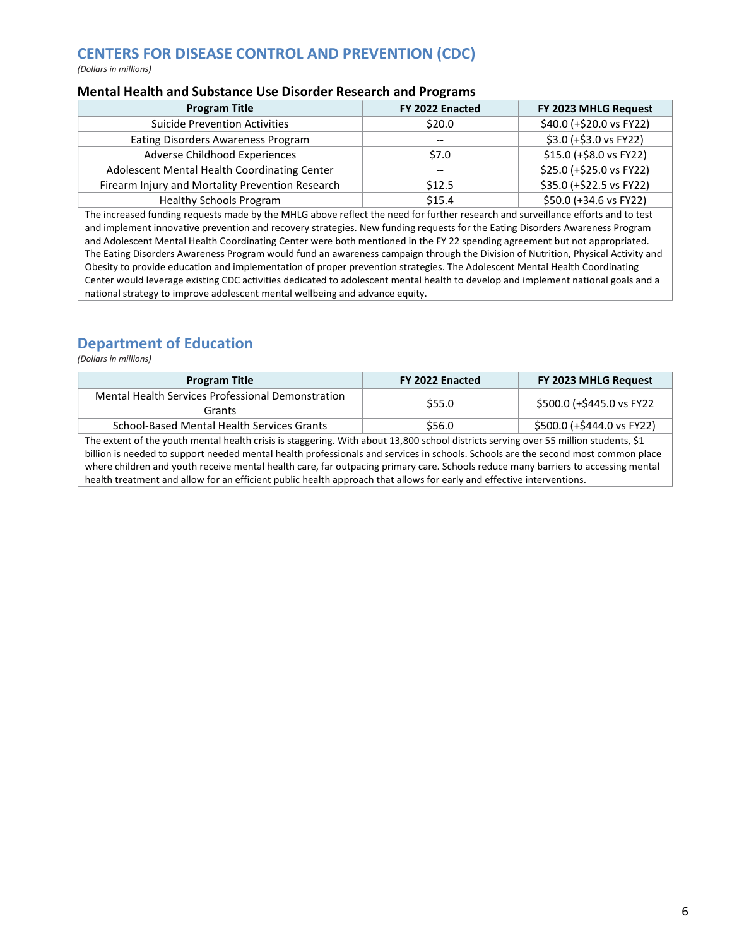# CENTERS FOR DISEASE CONTROL AND PREVENTION (CDC)

(Dollars in millions)

#### Mental Health and Substance Use Disorder Research and Programs

| <b>Program Title</b>                             | FY 2022 Enacted          | FY 2023 MHLG Request     |
|--------------------------------------------------|--------------------------|--------------------------|
| <b>Suicide Prevention Activities</b>             | \$20.0                   | \$40.0 (+\$20.0 vs FY22) |
| Eating Disorders Awareness Program               | $\hspace{0.05cm} \ldots$ | \$3.0 (+\$3.0 vs FY22)   |
| Adverse Childhood Experiences                    | \$7.0                    | \$15.0 (+\$8.0 vs FY22)  |
| Adolescent Mental Health Coordinating Center     | $\overline{\phantom{a}}$ | \$25.0 (+\$25.0 vs FY22) |
| Firearm Injury and Mortality Prevention Research | \$12.5                   | \$35.0 (+\$22.5 vs FY22) |
| <b>Healthy Schools Program</b>                   | \$15.4                   | \$50.0 (+34.6 vs FY22)   |
|                                                  |                          |                          |

The increased funding requests made by the MHLG above reflect the need for further research and surveillance efforts and to test and implement innovative prevention and recovery strategies. New funding requests for the Eating Disorders Awareness Program and Adolescent Mental Health Coordinating Center were both mentioned in the FY 22 spending agreement but not appropriated. The Eating Disorders Awareness Program would fund an awareness campaign through the Division of Nutrition, Physical Activity and Obesity to provide education and implementation of proper prevention strategies. The Adolescent Mental Health Coordinating Center would leverage existing CDC activities dedicated to adolescent mental health to develop and implement national goals and a national strategy to improve adolescent mental wellbeing and advance equity.

# Department of Education

(Dollars in millions)

| <b>Program Title</b>                                                                                                                 | FY 2022 Enacted | FY 2023 MHLG Request       |  |  |
|--------------------------------------------------------------------------------------------------------------------------------------|-----------------|----------------------------|--|--|
| Mental Health Services Professional Demonstration                                                                                    | \$55.0          | \$500.0 (+\$445.0 vs FY22  |  |  |
| Grants                                                                                                                               |                 |                            |  |  |
| School-Based Mental Health Services Grants                                                                                           | \$56.0          | \$500.0 (+\$444.0 vs FY22) |  |  |
| The extent of the youth mental health crisis is staggering. With about 13,800 school districts serving over 55 million students, \$1 |                 |                            |  |  |
| billion is needed to support needed mental health professionals and services in schools. Schools are the second most common place    |                 |                            |  |  |
| where children and youth receive mental health care, far outpacing primary care. Schools reduce many barriers to accessing mental    |                 |                            |  |  |
| health treatment and allow for an efficient public health approach that allows for early and effective interventions.                |                 |                            |  |  |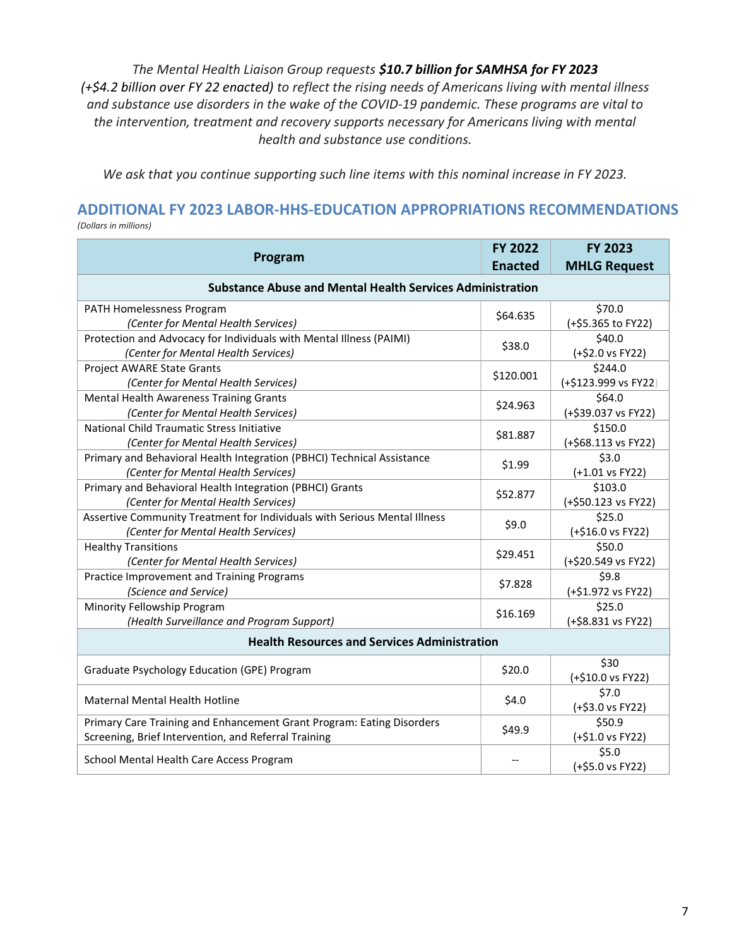The Mental Health Liaison Group requests \$10.7 billion for SAMHSA for FY 2023 (+\$4.2 billion over FY 22 enacted) to reflect the rising needs of Americans living with mental illness and substance use disorders in the wake of the COVID-19 pandemic. These programs are vital to the intervention, treatment and recovery supports necessary for Americans living with mental health and substance use conditions.

We ask that you continue supporting such line items with this nominal increase in FY 2023.

# ADDITIONAL FY 2023 LABOR-HHS-EDUCATION APPROPRIATIONS RECOMMENDATIONS

(Dollars in millions)

| Program                                                                                                                       | <b>FY 2022</b><br><b>Enacted</b> | <b>FY 2023</b><br><b>MHLG Request</b> |  |  |
|-------------------------------------------------------------------------------------------------------------------------------|----------------------------------|---------------------------------------|--|--|
| <b>Substance Abuse and Mental Health Services Administration</b>                                                              |                                  |                                       |  |  |
| PATH Homelessness Program<br>(Center for Mental Health Services)                                                              | \$64.635                         | \$70.0<br>(+\$5.365 to FY22)          |  |  |
| Protection and Advocacy for Individuals with Mental Illness (PAIMI)<br>(Center for Mental Health Services)                    | \$38.0                           | \$40.0<br>(+\$2.0 vs FY22)            |  |  |
| Project AWARE State Grants<br>(Center for Mental Health Services)                                                             | \$120.001                        | \$244.0<br>(+\$123.999 vs FY22)       |  |  |
| Mental Health Awareness Training Grants<br>(Center for Mental Health Services)                                                | \$24.963                         | \$64.0<br>(+\$39.037 vs FY22)         |  |  |
| National Child Traumatic Stress Initiative<br>(Center for Mental Health Services)                                             | \$81.887                         | \$150.0<br>(+\$68.113 vs FY22)        |  |  |
| Primary and Behavioral Health Integration (PBHCI) Technical Assistance<br>(Center for Mental Health Services)                 | \$1.99                           | \$3.0<br>(+1.01 vs FY22)              |  |  |
| Primary and Behavioral Health Integration (PBHCI) Grants<br>(Center for Mental Health Services)                               | \$52.877                         | \$103.0<br>(+\$50.123 vs FY22)        |  |  |
| Assertive Community Treatment for Individuals with Serious Mental Illness<br>(Center for Mental Health Services)              | \$9.0                            | \$25.0<br>(+\$16.0 vs FY22)           |  |  |
| <b>Healthy Transitions</b><br>(Center for Mental Health Services)                                                             | \$29.451                         | \$50.0<br>(+\$20.549 vs FY22)         |  |  |
| Practice Improvement and Training Programs<br>(Science and Service)                                                           | \$7.828                          | \$9.8<br>(+\$1.972 vs FY22)           |  |  |
| Minority Fellowship Program<br>(Health Surveillance and Program Support)                                                      | \$16.169                         | \$25.0<br>(+\$8.831 vs FY22)          |  |  |
| <b>Health Resources and Services Administration</b>                                                                           |                                  |                                       |  |  |
| Graduate Psychology Education (GPE) Program                                                                                   | \$20.0                           | \$30<br>(+\$10.0 vs FY22)             |  |  |
| <b>Maternal Mental Health Hotline</b>                                                                                         | \$4.0                            | \$7.0<br>(+\$3.0 vs FY22)             |  |  |
| Primary Care Training and Enhancement Grant Program: Eating Disorders<br>Screening, Brief Intervention, and Referral Training | \$49.9                           | \$50.9<br>(+\$1.0 vs FY22)            |  |  |
| School Mental Health Care Access Program                                                                                      |                                  | \$5.0<br>(+\$5.0 vs FY22)             |  |  |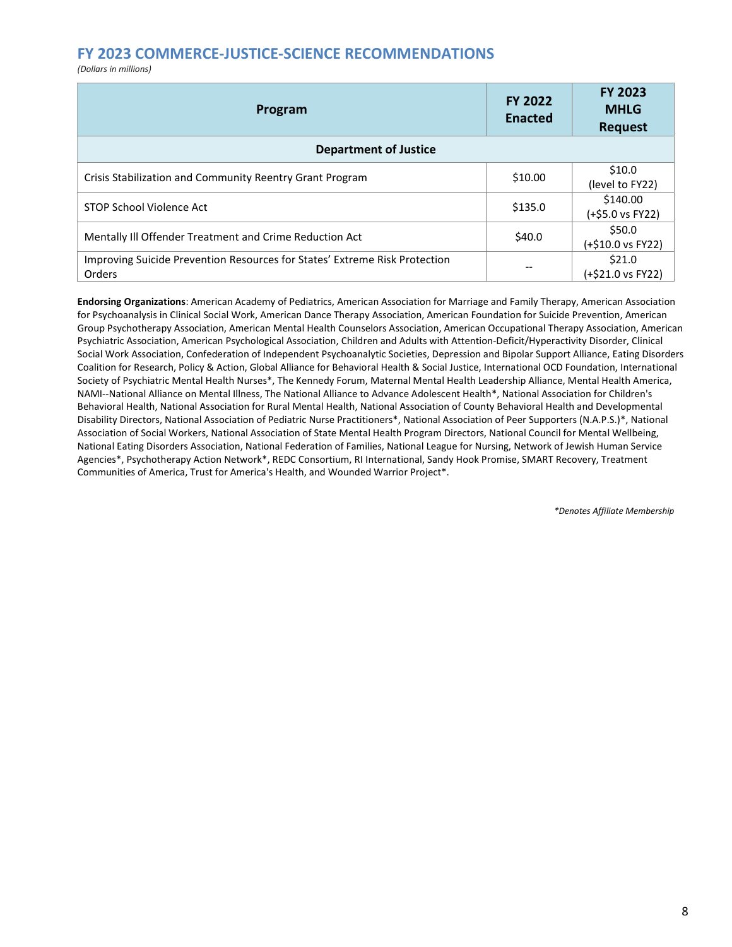### FY 2023 COMMERCE-JUSTICE-SCIENCE RECOMMENDATIONS

(Dollars in millions)

| Program                                                                              | <b>FY 2022</b><br><b>Enacted</b> | <b>FY 2023</b><br><b>MHLG</b><br><b>Request</b> |  |
|--------------------------------------------------------------------------------------|----------------------------------|-------------------------------------------------|--|
| <b>Department of Justice</b>                                                         |                                  |                                                 |  |
| Crisis Stabilization and Community Reentry Grant Program                             | \$10.00                          | \$10.0<br>(level to FY22)                       |  |
| STOP School Violence Act                                                             | \$135.0                          | \$140.00<br>(+\$5.0 vs FY22)                    |  |
| Mentally III Offender Treatment and Crime Reduction Act                              | \$40.0                           | \$50.0<br>(+\$10.0 vs FY22)                     |  |
| Improving Suicide Prevention Resources for States' Extreme Risk Protection<br>Orders | --                               | \$21.0<br>(+\$21.0 vs FY22)                     |  |

Endorsing Organizations: American Academy of Pediatrics, American Association for Marriage and Family Therapy, American Association for Psychoanalysis in Clinical Social Work, American Dance Therapy Association, American Foundation for Suicide Prevention, American Group Psychotherapy Association, American Mental Health Counselors Association, American Occupational Therapy Association, American Psychiatric Association, American Psychological Association, Children and Adults with Attention-Deficit/Hyperactivity Disorder, Clinical Social Work Association, Confederation of Independent Psychoanalytic Societies, Depression and Bipolar Support Alliance, Eating Disorders Coalition for Research, Policy & Action, Global Alliance for Behavioral Health & Social Justice, International OCD Foundation, International Society of Psychiatric Mental Health Nurses\*, The Kennedy Forum, Maternal Mental Health Leadership Alliance, Mental Health America, NAMI--National Alliance on Mental Illness, The National Alliance to Advance Adolescent Health\*, National Association for Children's Behavioral Health, National Association for Rural Mental Health, National Association of County Behavioral Health and Developmental Disability Directors, National Association of Pediatric Nurse Practitioners\*, National Association of Peer Supporters (N.A.P.S.)\*, National Association of Social Workers, National Association of State Mental Health Program Directors, National Council for Mental Wellbeing, National Eating Disorders Association, National Federation of Families, National League for Nursing, Network of Jewish Human Service Agencies\*, Psychotherapy Action Network\*, REDC Consortium, RI International, Sandy Hook Promise, SMART Recovery, Treatment Communities of America, Trust for America's Health, and Wounded Warrior Project\*.

\*Denotes Affiliate Membership